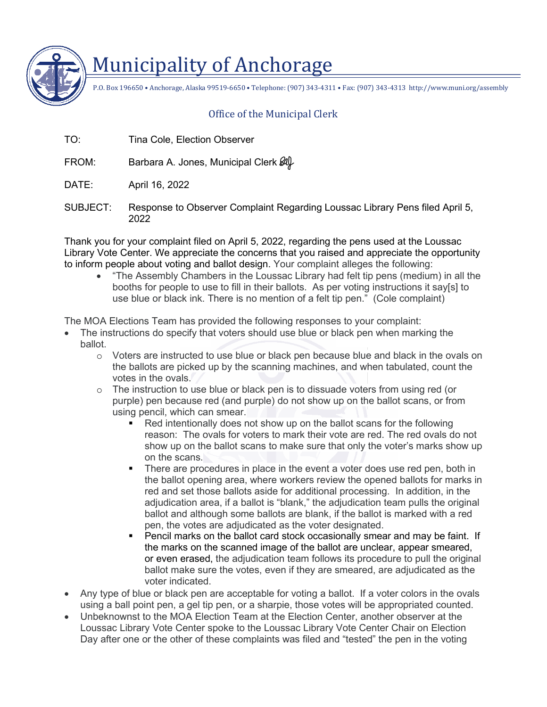

## Municipality of Anchorage

P.O. Box 196650 • Anchorage, Alaska 99519-6650 • Telephone: (907) 343-4311 • Fax: (907) 343-4313 http://www.muni.org/assembly

## Office of the Municipal Clerk

TO: Tina Cole, Election Observer

FROM: Barbara A. Jones, Municipal Clerk  $\mathscr{A}\!\!\mathscr{L}$ 

- DATE: April 16, 2022
- SUBJECT: Response to Observer Complaint Regarding Loussac Library Pens filed April 5, 2022

Thank you for your complaint filed on April 5, 2022, regarding the pens used at the Loussac Library Vote Center. We appreciate the concerns that you raised and appreciate the opportunity to inform people about voting and ballot design. Your complaint alleges the following:

• "The Assembly Chambers in the Loussac Library had felt tip pens (medium) in all the booths for people to use to fill in their ballots. As per voting instructions it say[s] to use blue or black ink. There is no mention of a felt tip pen." (Cole complaint)

The MOA Elections Team has provided the following responses to your complaint:

- The instructions do specify that voters should use blue or black pen when marking the ballot.
	- o Voters are instructed to use blue or black pen because blue and black in the ovals on the ballots are picked up by the scanning machines, and when tabulated, count the votes in the ovals.
	- $\circ$  The instruction to use blue or black pen is to dissuade voters from using red (or purple) pen because red (and purple) do not show up on the ballot scans, or from using pencil, which can smear.
		- Red intentionally does not show up on the ballot scans for the following reason: The ovals for voters to mark their vote are red. The red ovals do not show up on the ballot scans to make sure that only the voter's marks show up on the scans.
		- There are procedures in place in the event a voter does use red pen, both in the ballot opening area, where workers review the opened ballots for marks in red and set those ballots aside for additional processing. In addition, in the adjudication area, if a ballot is "blank," the adjudication team pulls the original ballot and although some ballots are blank, if the ballot is marked with a red pen, the votes are adjudicated as the voter designated.
		- Pencil marks on the ballot card stock occasionally smear and may be faint. If the marks on the scanned image of the ballot are unclear, appear smeared, or even erased, the adjudication team follows its procedure to pull the original ballot make sure the votes, even if they are smeared, are adjudicated as the voter indicated.
- Any type of blue or black pen are acceptable for voting a ballot. If a voter colors in the ovals using a ball point pen, a gel tip pen, or a sharpie, those votes will be appropriated counted.
- Unbeknownst to the MOA Election Team at the Election Center, another observer at the Loussac Library Vote Center spoke to the Loussac Library Vote Center Chair on Election Day after one or the other of these complaints was filed and "tested" the pen in the voting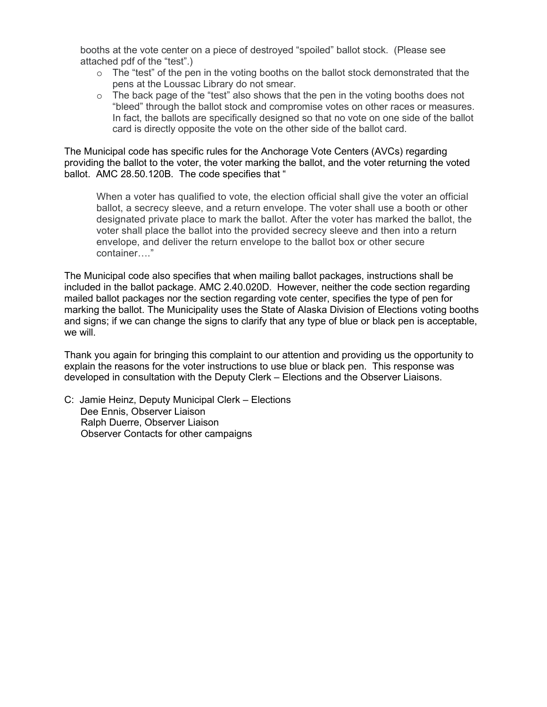booths at the vote center on a piece of destroyed "spoiled" ballot stock. (Please see attached pdf of the "test".)

- $\circ$  The "test" of the pen in the voting booths on the ballot stock demonstrated that the pens at the Loussac Library do not smear.
- $\circ$  The back page of the "test" also shows that the pen in the voting booths does not "bleed" through the ballot stock and compromise votes on other races or measures. In fact, the ballots are specifically designed so that no vote on one side of the ballot card is directly opposite the vote on the other side of the ballot card.

The Municipal code has specific rules for the Anchorage Vote Centers (AVCs) regarding providing the ballot to the voter, the voter marking the ballot, and the voter returning the voted ballot. AMC 28.50.120B. The code specifies that "

When a voter has qualified to vote, the election official shall give the voter an official ballot, a secrecy sleeve, and a return envelope. The voter shall use a booth or other designated private place to mark the ballot. After the voter has marked the ballot, the voter shall place the ballot into the provided secrecy sleeve and then into a return envelope, and deliver the return envelope to the ballot box or other secure container…."

The Municipal code also specifies that when mailing ballot packages, instructions shall be included in the ballot package. AMC 2.40.020D. However, neither the code section regarding mailed ballot packages nor the section regarding vote center, specifies the type of pen for marking the ballot. The Municipality uses the State of Alaska Division of Elections voting booths and signs; if we can change the signs to clarify that any type of blue or black pen is acceptable, we will.

Thank you again for bringing this complaint to our attention and providing us the opportunity to explain the reasons for the voter instructions to use blue or black pen. This response was developed in consultation with the Deputy Clerk – Elections and the Observer Liaisons.

C: Jamie Heinz, Deputy Municipal Clerk – Elections Dee Ennis, Observer Liaison Ralph Duerre, Observer Liaison Observer Contacts for other campaigns